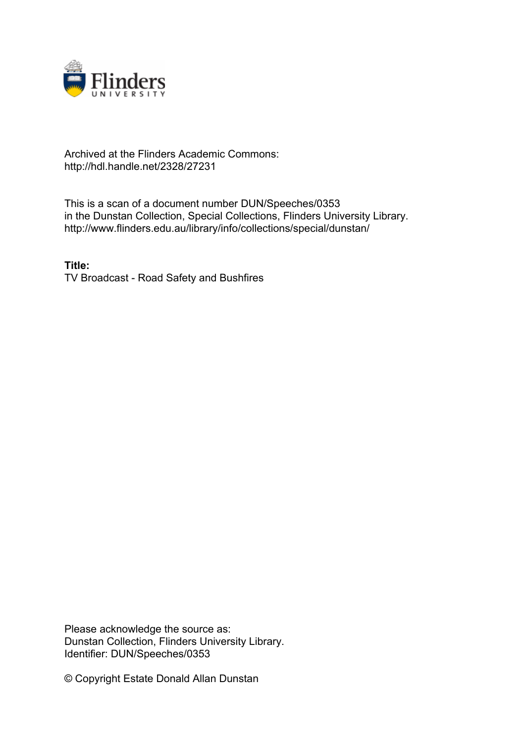

## Archived at the Flinders Academic Commons: http://hdl.handle.net/2328/27231

This is a scan of a document number DUN/Speeches/0353 in the Dunstan Collection, Special Collections, Flinders University Library. http://www.flinders.edu.au/library/info/collections/special/dunstan/

**Title:** TV Broadcast - Road Safety and Bushfires

Please acknowledge the source as: Dunstan Collection, Flinders University Library. Identifier: DUN/Speeches/0353

© Copyright Estate Donald Allan Dunstan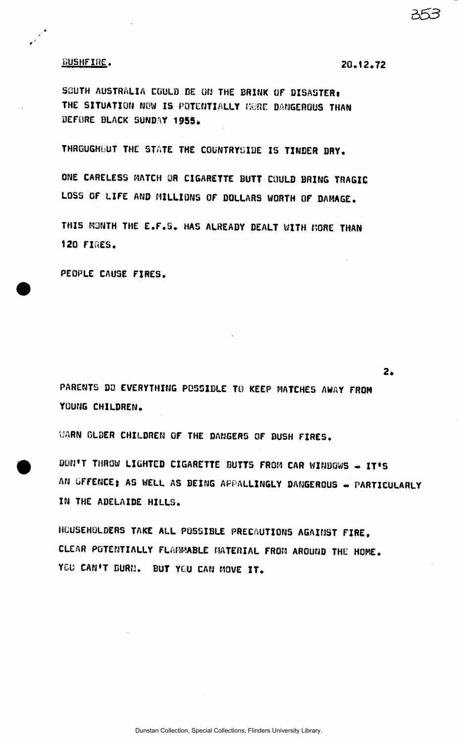## BUSHFIRE. **20.12,72**

2.

SOUTH AUSTRALIA COULD BE ON THE BRINK OF DISASTER: THE SITUATION NOW IS POTENTIALLY MERE DANGEROUS THAN BEFORE BLACK SUNDAY 1955.

THROUGHOUT THE STATE THE COUNTRYSIDE IS TINDER DRY.

ONE CARELESS MATCH OR CIGARETTE BUTT COULD BRING TRAGIC LOSS OF LIFE AND MILLIONS OF DOLLARS WORTH OF DAMAGE.

THIS MONTH THE E.F.5. HAS ALREADY DEALT WITH MORE THAN 120 FIRES.

PEOPLE CAUSE FIRES.

PARENTS DO EVERYTHING POSSIBLE TO KEEP MATCHES AWAY FROM YOUNG CHILDREN.

WARN OLDER CHILDREN OF THE DANGERS OF BUSH FIRES.

DON'T THROW LIGHTED CIGARETTE BUTTS FROM CAR WINDOWS - IT'S AN GFFENCE; AS WELL AS BEING APPALLINGLY DANGEROUS - PARTICULARLY IN THE ADELAIDE HILLS.

HOUSEHOLDERS TAKE ALL POSSIBLE PRECAUTIONS AGAINST FIRE, CLEAR POTENTIALLY FLAMMABLE MATERIAL FROM AROUND THE HOME. YOU CAN'T BURN. BUT YOU CAN MOVE IT.